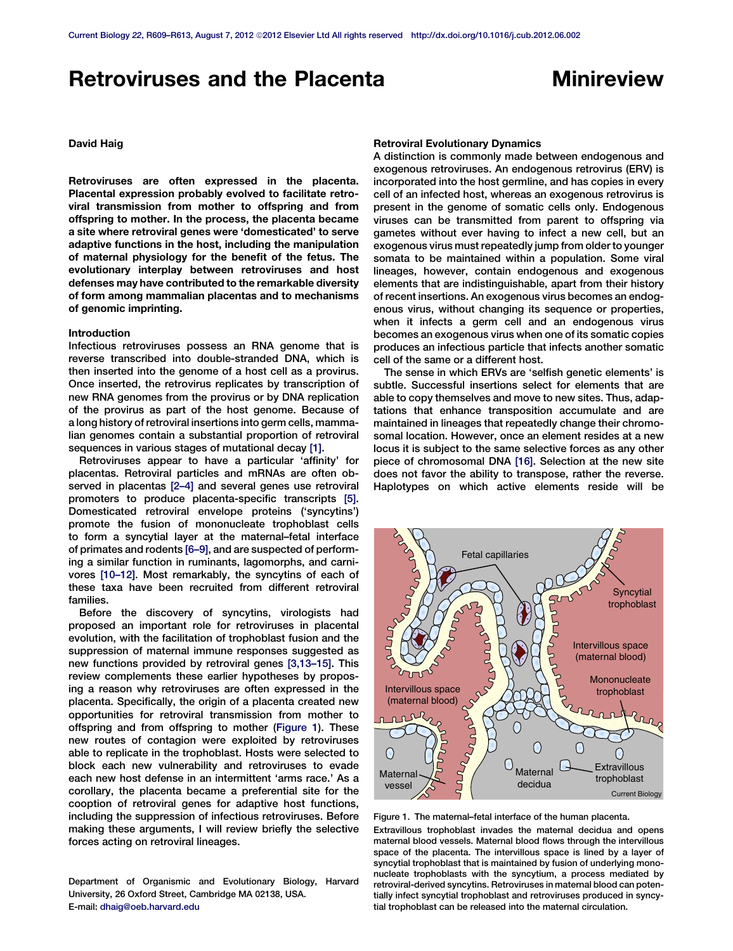# Retroviruses and the Placenta **Minimers** Minireview

# David Haig

Retroviruses are often expressed in the placenta. Placental expression probably evolved to facilitate retroviral transmission from mother to offspring and from offspring to mother. In the process, the placenta became a site where retroviral genes were 'domesticated' to serve adaptive functions in the host, including the manipulation of maternal physiology for the benefit of the fetus. The evolutionary interplay between retroviruses and host defenses may have contributed to the remarkable diversity of form among mammalian placentas and to mechanisms of genomic imprinting.

# Introduction

Infectious retroviruses possess an RNA genome that is reverse transcribed into double-stranded DNA, which is then inserted into the genome of a host cell as a provirus. Once inserted, the retrovirus replicates by transcription of new RNA genomes from the provirus or by DNA replication of the provirus as part of the host genome. Because of a long history of retroviral insertions into germ cells, mammalian genomes contain a substantial proportion of retroviral sequences in various stages of mutational decay [\[1\].](#page-3-0)

Retroviruses appear to have a particular 'affinity' for placentas. Retroviral particles and mRNAs are often observed in placentas [\[2–4\]](#page-3-0) and several genes use retroviral promoters to produce placenta-specific transcripts [\[5\]](#page-3-0). Domesticated retroviral envelope proteins ('syncytins') promote the fusion of mononucleate trophoblast cells to form a syncytial layer at the maternal–fetal interface of primates and rodents [\[6–9\]](#page-3-0), and are suspected of performing a similar function in ruminants, lagomorphs, and carnivores [\[10–12\]](#page-3-0). Most remarkably, the syncytins of each of these taxa have been recruited from different retroviral families.

Before the discovery of syncytins, virologists had proposed an important role for retroviruses in placental evolution, with the facilitation of trophoblast fusion and the suppression of maternal immune responses suggested as new functions provided by retroviral genes [\[3,13–15\].](#page-3-0) This review complements these earlier hypotheses by proposing a reason why retroviruses are often expressed in the placenta. Specifically, the origin of a placenta created new opportunities for retroviral transmission from mother to offspring and from offspring to mother (Figure 1). These new routes of contagion were exploited by retroviruses able to replicate in the trophoblast. Hosts were selected to block each new vulnerability and retroviruses to evade each new host defense in an intermittent 'arms race.' As a corollary, the placenta became a preferential site for the cooption of retroviral genes for adaptive host functions, including the suppression of infectious retroviruses. Before making these arguments, I will review briefly the selective forces acting on retroviral lineages.

# Department of Organismic and Evolutionary Biology, Harvard University, 26 Oxford Street, Cambridge MA 02138, USA. E-mail: [dhaig@oeb.harvard.edu](mailto:dhaig@oeb.harvard.edu)

### Retroviral Evolutionary Dynamics

A distinction is commonly made between endogenous and exogenous retroviruses. An endogenous retrovirus (ERV) is incorporated into the host germline, and has copies in every cell of an infected host, whereas an exogenous retrovirus is present in the genome of somatic cells only. Endogenous viruses can be transmitted from parent to offspring via gametes without ever having to infect a new cell, but an exogenous virus must repeatedly jump from older to younger somata to be maintained within a population. Some viral lineages, however, contain endogenous and exogenous elements that are indistinguishable, apart from their history of recent insertions. An exogenous virus becomes an endogenous virus, without changing its sequence or properties, when it infects a germ cell and an endogenous virus becomes an exogenous virus when one of its somatic copies produces an infectious particle that infects another somatic cell of the same or a different host.

The sense in which ERVs are 'selfish genetic elements' is subtle. Successful insertions select for elements that are able to copy themselves and move to new sites. Thus, adaptations that enhance transposition accumulate and are maintained in lineages that repeatedly change their chromosomal location. However, once an element resides at a new locus it is subject to the same selective forces as any other piece of chromosomal DNA [\[16\].](#page-3-0) Selection at the new site does not favor the ability to transpose, rather the reverse. Haplotypes on which active elements reside will be



Figure 1. The maternal–fetal interface of the human placenta. Extravillous trophoblast invades the maternal decidua and opens maternal blood vessels. Maternal blood flows through the intervillous space of the placenta. The intervillous space is lined by a layer of syncytial trophoblast that is maintained by fusion of underlying mononucleate trophoblasts with the syncytium, a process mediated by retroviral-derived syncytins. Retroviruses in maternal blood can potentially infect syncytial trophoblast and retroviruses produced in syncytial trophoblast can be released into the maternal circulation.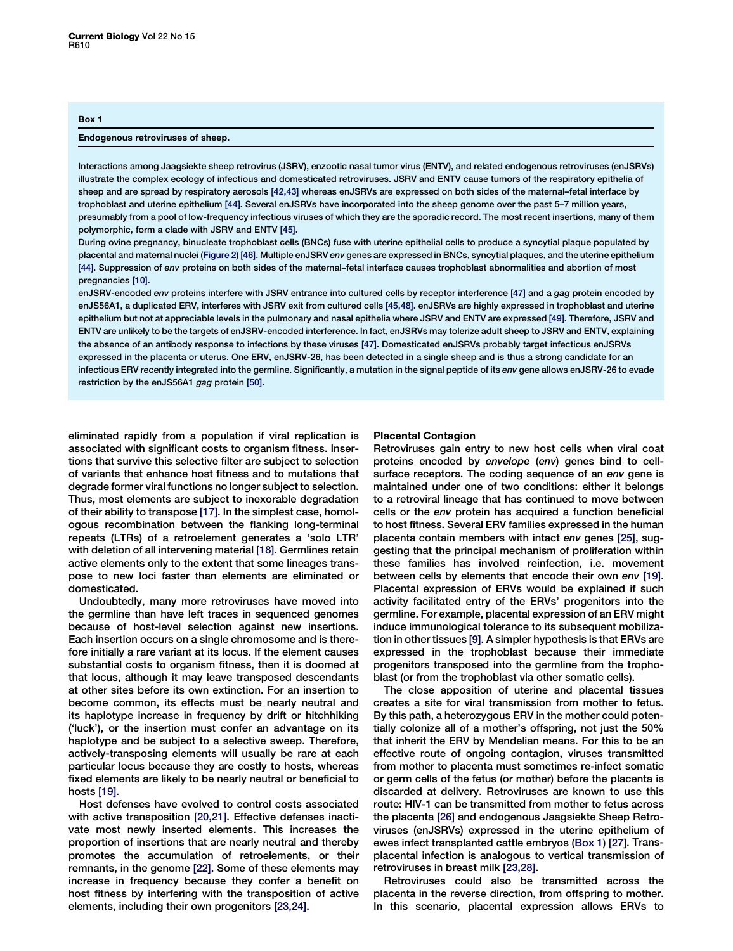#### Box 1

#### Endogenous retroviruses of sheep.

Interactions among Jaagsiekte sheep retrovirus (JSRV), enzootic nasal tumor virus (ENTV), and related endogenous retroviruses (enJSRVs) illustrate the complex ecology of infectious and domesticated retroviruses. JSRV and ENTV cause tumors of the respiratory epithelia of sheep and are spread by respiratory aerosols [\[42,43\]](#page-4-0) whereas enJSRVs are expressed on both sides of the maternal–fetal interface by trophoblast and uterine epithelium [\[44\].](#page-4-0) Several enJSRVs have incorporated into the sheep genome over the past 5–7 million years, presumably from a pool of low-frequency infectious viruses of which they are the sporadic record. The most recent insertions, many of them polymorphic, form a clade with JSRV and ENTV [\[45\]](#page-4-0).

During ovine pregnancy, binucleate trophoblast cells (BNCs) fuse with uterine epithelial cells to produce a syncytial plaque populated by placental and maternal nuclei [\(Figure 2](#page-2-0)) [\[46\].](#page-4-0) Multiple enJSRV env genes are expressed in BNCs, syncytial plaques, and the uterine epithelium [\[44\].](#page-4-0) Suppression of env proteins on both sides of the maternal–fetal interface causes trophoblast abnormalities and abortion of most pregnancies [\[10\].](#page-3-0)

enJSRV-encoded env proteins interfere with JSRV entrance into cultured cells by receptor interference [\[47\]](#page-4-0) and a gag protein encoded by enJS56A1, a duplicated ERV, interferes with JSRV exit from cultured cells [\[45,48\]](#page-4-0). enJSRVs are highly expressed in trophoblast and uterine epithelium but not at appreciable levels in the pulmonary and nasal epithelia where JSRV and ENTV are expressed [\[49\].](#page-4-0) Therefore, JSRV and ENTV are unlikely to be the targets of enJSRV-encoded interference. In fact, enJSRVs may tolerize adult sheep to JSRV and ENTV, explaining the absence of an antibody response to infections by these viruses [\[47\]](#page-4-0). Domesticated enJSRVs probably target infectious enJSRVs expressed in the placenta or uterus. One ERV, enJSRV-26, has been detected in a single sheep and is thus a strong candidate for an infectious ERV recently integrated into the germline. Significantly, a mutation in the signal peptide of its env gene allows enJSRV-26 to evade restriction by the enJS56A1 gag protein [\[50\].](#page-4-0)

eliminated rapidly from a population if viral replication is associated with significant costs to organism fitness. Insertions that survive this selective filter are subject to selection of variants that enhance host fitness and to mutations that degrade former viral functions no longer subject to selection. Thus, most elements are subject to inexorable degradation of their ability to transpose [\[17\]](#page-3-0). In the simplest case, homologous recombination between the flanking long-terminal repeats (LTRs) of a retroelement generates a 'solo LTR' with deletion of all intervening material [\[18\].](#page-3-0) Germlines retain active elements only to the extent that some lineages transpose to new loci faster than elements are eliminated or domesticated.

Undoubtedly, many more retroviruses have moved into the germline than have left traces in sequenced genomes because of host-level selection against new insertions. Each insertion occurs on a single chromosome and is therefore initially a rare variant at its locus. If the element causes substantial costs to organism fitness, then it is doomed at that locus, although it may leave transposed descendants at other sites before its own extinction. For an insertion to become common, its effects must be nearly neutral and its haplotype increase in frequency by drift or hitchhiking ('luck'), or the insertion must confer an advantage on its haplotype and be subject to a selective sweep. Therefore, actively-transposing elements will usually be rare at each particular locus because they are costly to hosts, whereas fixed elements are likely to be nearly neutral or beneficial to hosts [\[19\].](#page-3-0)

Host defenses have evolved to control costs associated with active transposition [\[20,21\].](#page-3-0) Effective defenses inactivate most newly inserted elements. This increases the proportion of insertions that are nearly neutral and thereby promotes the accumulation of retroelements, or their remnants, in the genome [\[22\].](#page-3-0) Some of these elements may increase in frequency because they confer a benefit on host fitness by interfering with the transposition of active elements, including their own progenitors [\[23,24\]](#page-3-0).

### Placental Contagion

Retroviruses gain entry to new host cells when viral coat proteins encoded by envelope (env) genes bind to cellsurface receptors. The coding sequence of an env gene is maintained under one of two conditions: either it belongs to a retroviral lineage that has continued to move between cells or the env protein has acquired a function beneficial to host fitness. Several ERV families expressed in the human placenta contain members with intact env genes [\[25\]](#page-3-0), suggesting that the principal mechanism of proliferation within these families has involved reinfection, i.e. movement between cells by elements that encode their own env [\[19\]](#page-3-0). Placental expression of ERVs would be explained if such activity facilitated entry of the ERVs' progenitors into the germline. For example, placental expression of an ERV might induce immunological tolerance to its subsequent mobilization in other tissues [\[9\]](#page-3-0). A simpler hypothesis is that ERVs are expressed in the trophoblast because their immediate progenitors transposed into the germline from the trophoblast (or from the trophoblast via other somatic cells).

The close apposition of uterine and placental tissues creates a site for viral transmission from mother to fetus. By this path, a heterozygous ERV in the mother could potentially colonize all of a mother's offspring, not just the 50% that inherit the ERV by Mendelian means. For this to be an effective route of ongoing contagion, viruses transmitted from mother to placenta must sometimes re-infect somatic or germ cells of the fetus (or mother) before the placenta is discarded at delivery. Retroviruses are known to use this route: HIV-1 can be transmitted from mother to fetus across the placenta [\[26\]](#page-3-0) and endogenous Jaagsiekte Sheep Retroviruses (enJSRVs) expressed in the uterine epithelium of ewes infect transplanted cattle embryos (Box 1) [\[27\].](#page-3-0) Transplacental infection is analogous to vertical transmission of retroviruses in breast milk [\[23,28\].](#page-3-0)

Retroviruses could also be transmitted across the placenta in the reverse direction, from offspring to mother. In this scenario, placental expression allows ERVs to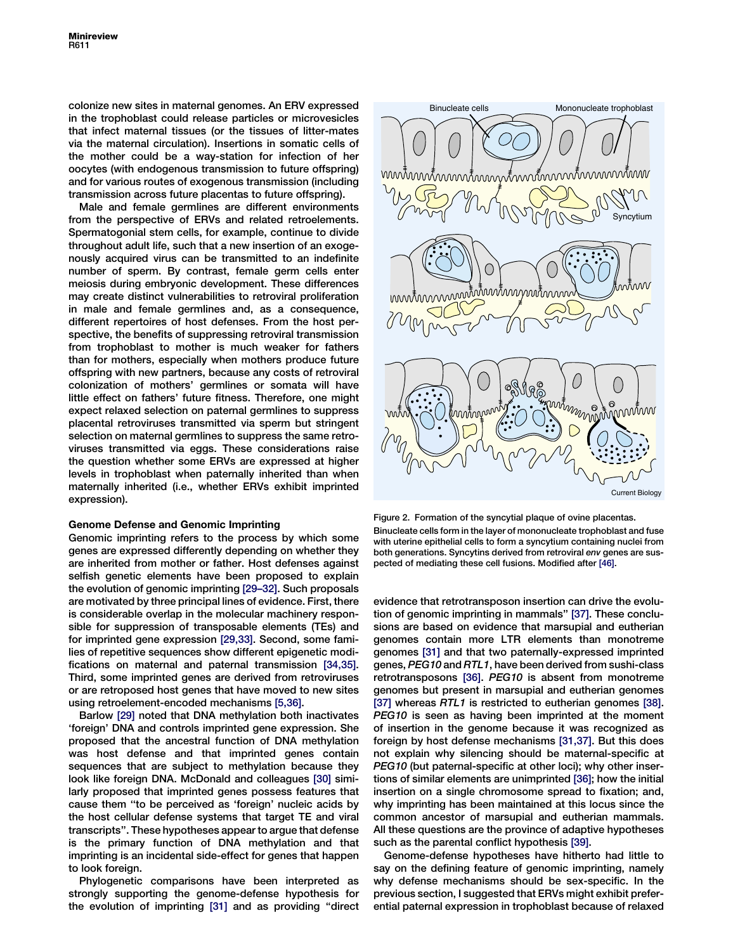<span id="page-2-0"></span>colonize new sites in maternal genomes. An ERV expressed in the trophoblast could release particles or microvesicles that infect maternal tissues (or the tissues of litter-mates via the maternal circulation). Insertions in somatic cells of the mother could be a way-station for infection of her oocytes (with endogenous transmission to future offspring) and for various routes of exogenous transmission (including transmission across future placentas to future offspring).

Male and female germlines are different environments from the perspective of ERVs and related retroelements. Spermatogonial stem cells, for example, continue to divide throughout adult life, such that a new insertion of an exogenously acquired virus can be transmitted to an indefinite number of sperm. By contrast, female germ cells enter meiosis during embryonic development. These differences may create distinct vulnerabilities to retroviral proliferation in male and female germlines and, as a consequence, different repertoires of host defenses. From the host perspective, the benefits of suppressing retroviral transmission from trophoblast to mother is much weaker for fathers than for mothers, especially when mothers produce future offspring with new partners, because any costs of retroviral colonization of mothers' germlines or somata will have little effect on fathers' future fitness. Therefore, one might expect relaxed selection on paternal germlines to suppress placental retroviruses transmitted via sperm but stringent selection on maternal germlines to suppress the same retroviruses transmitted via eggs. These considerations raise the question whether some ERVs are expressed at higher levels in trophoblast when paternally inherited than when maternally inherited (i.e., whether ERVs exhibit imprinted expression).

# Genome Defense and Genomic Imprinting

Genomic imprinting refers to the process by which some genes are expressed differently depending on whether they are inherited from mother or father. Host defenses against selfish genetic elements have been proposed to explain the evolution of genomic imprinting [\[29–32\]](#page-3-0). Such proposals are motivated by three principal lines of evidence. First, there is considerable overlap in the molecular machinery responsible for suppression of transposable elements (TEs) and for imprinted gene expression [\[29,33\]](#page-3-0). Second, some families of repetitive sequences show different epigenetic modifications on maternal and paternal transmission [\[34,35\]](#page-3-0). Third, some imprinted genes are derived from retroviruses or are retroposed host genes that have moved to new sites using retroelement-encoded mechanisms [\[5,36\]](#page-3-0).

Barlow [\[29\]](#page-3-0) noted that DNA methylation both inactivates 'foreign' DNA and controls imprinted gene expression. She proposed that the ancestral function of DNA methylation was host defense and that imprinted genes contain sequences that are subject to methylation because they look like foreign DNA. McDonald and colleagues [\[30\]](#page-3-0) similarly proposed that imprinted genes possess features that cause them ''to be perceived as 'foreign' nucleic acids by the host cellular defense systems that target TE and viral transcripts''. These hypotheses appear to argue that defense is the primary function of DNA methylation and that imprinting is an incidental side-effect for genes that happen to look foreign.

Phylogenetic comparisons have been interpreted as strongly supporting the genome-defense hypothesis for the evolution of imprinting [\[31\]](#page-3-0) and as providing ''direct



Figure 2. Formation of the syncytial plaque of ovine placentas. Binucleate cells form in the layer of mononucleate trophoblast and fuse with uterine epithelial cells to form a syncytium containing nuclei from both generations. Syncytins derived from retroviral env genes are suspected of mediating these cell fusions. Modified after [\[46\].](#page-4-0)

evidence that retrotransposon insertion can drive the evolution of genomic imprinting in mammals'' [\[37\].](#page-4-0) These conclusions are based on evidence that marsupial and eutherian genomes contain more LTR elements than monotreme genomes [\[31\]](#page-3-0) and that two paternally-expressed imprinted genes, PEG10 and RTL1, have been derived from sushi-class retrotransposons [\[36\].](#page-4-0) PEG10 is absent from monotreme genomes but present in marsupial and eutherian genomes [\[37\]](#page-4-0) whereas RTL1 is restricted to eutherian genomes [\[38\]](#page-4-0). PEG10 is seen as having been imprinted at the moment of insertion in the genome because it was recognized as foreign by host defense mechanisms [\[31,37\]](#page-3-0). But this does not explain why silencing should be maternal-specific at PEG10 (but paternal-specific at other loci); why other insertions of similar elements are unimprinted [\[36\];](#page-4-0) how the initial insertion on a single chromosome spread to fixation; and, why imprinting has been maintained at this locus since the common ancestor of marsupial and eutherian mammals. All these questions are the province of adaptive hypotheses such as the parental conflict hypothesis [\[39\].](#page-4-0)

Genome-defense hypotheses have hitherto had little to say on the defining feature of genomic imprinting, namely why defense mechanisms should be sex-specific. In the previous section, I suggested that ERVs might exhibit preferential paternal expression in trophoblast because of relaxed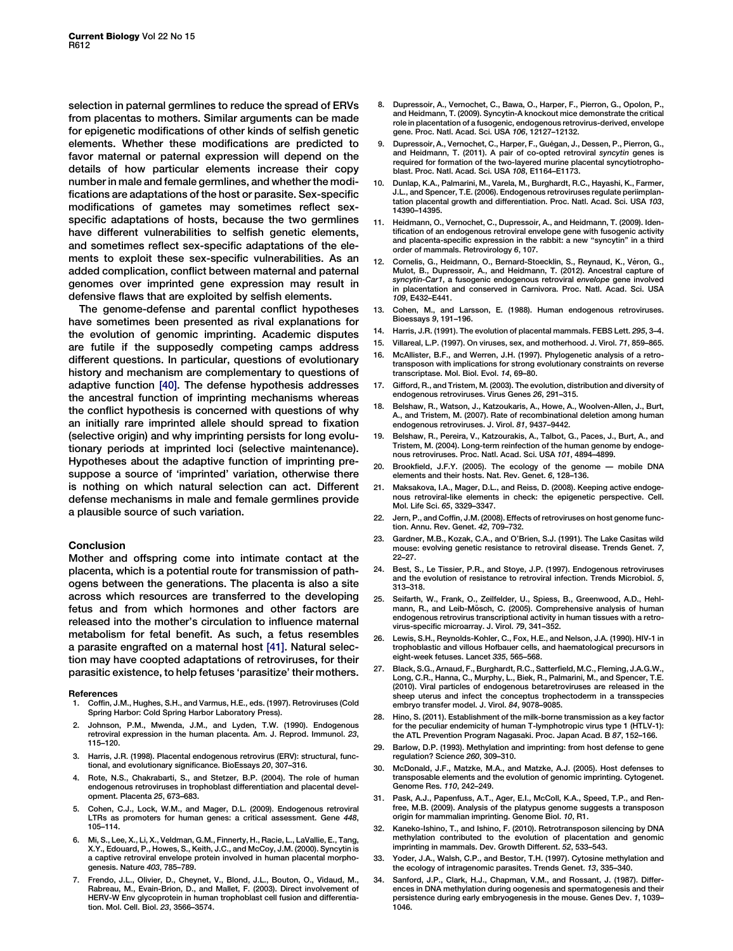<span id="page-3-0"></span>selection in paternal germlines to reduce the spread of ERVs from placentas to mothers. Similar arguments can be made for epigenetic modifications of other kinds of selfish genetic elements. Whether these modifications are predicted to favor maternal or paternal expression will depend on the details of how particular elements increase their copy number in male and female germlines, and whether the modifications are adaptations of the host or parasite. Sex-specific modifications of gametes may sometimes reflect sexspecific adaptations of hosts, because the two germlines have different vulnerabilities to selfish genetic elements, and sometimes reflect sex-specific adaptations of the elements to exploit these sex-specific vulnerabilities. As an added complication, conflict between maternal and paternal genomes over imprinted gene expression may result in defensive flaws that are exploited by selfish elements.

The genome-defense and parental conflict hypotheses have sometimes been presented as rival explanations for the evolution of genomic imprinting. Academic disputes are futile if the supposedly competing camps address different questions. In particular, questions of evolutionary history and mechanism are complementary to questions of adaptive function [\[40\].](#page-4-0) The defense hypothesis addresses the ancestral function of imprinting mechanisms whereas the conflict hypothesis is concerned with questions of why an initially rare imprinted allele should spread to fixation (selective origin) and why imprinting persists for long evolutionary periods at imprinted loci (selective maintenance). Hypotheses about the adaptive function of imprinting presuppose a source of 'imprinted' variation, otherwise there is nothing on which natural selection can act. Different defense mechanisms in male and female germlines provide a plausible source of such variation.

# Conclusion

Mother and offspring come into intimate contact at the placenta, which is a potential route for transmission of pathogens between the generations. The placenta is also a site across which resources are transferred to the developing fetus and from which hormones and other factors are released into the mother's circulation to influence maternal metabolism for fetal benefit. As such, a fetus resembles a parasite engrafted on a maternal host [\[41\]](#page-4-0). Natural selection may have coopted adaptations of retroviruses, for their parasitic existence, to help fetuses 'parasitize' their mothers.

#### **References**

- 1. Coffin, J.M., Hughes, S.H., and Varmus, H.E., eds. (1997). Retroviruses (Cold Spring Harbor: Cold Spring Harbor Laboratory Press).
- 2. Johnson, P.M., Mwenda, J.M., and Lyden, T.W. (1990). Endogenous retroviral expression in the human placenta. Am. J. Reprod. Immunol. 23, 115–120.
- 3. Harris, J.R. (1998). Placental endogenous retrovirus (ERV): structural, functional, and evolutionary significance. BioEssays 20, 307–316.
- 4. Rote, N.S., Chakrabarti, S., and Stetzer, B.P. (2004). The role of human endogenous retroviruses in trophoblast differentiation and placental development. Placenta 25, 673–683.
- 5. Cohen, C.J., Lock, W.M., and Mager, D.L. (2009). Endogenous retroviral LTRs as promoters for human genes: a critical assessment. Gene 448, 105–114.
- 6. Mi, S., Lee, X., Li, X., Veldman, G.M., Finnerty, H., Racie, L., LaVallie, E., Tang, X.Y., Edouard, P., Howes, S., Keith, J.C., and McCoy, J.M. (2000). Syncytin is a captive retroviral envelope protein involved in human placental morphogenesis. Nature 403, 785–789.
- Frendo, J.L., Olivier, D., Cheynet, V., Blond, J.L., Bouton, O., Vidaud, M., Rabreau, M., Evain-Brion, D., and Mallet, F. (2003). Direct involvement of HERV-W Env glycoprotein in human trophoblast cell fusion and differentiation. Mol. Cell. Biol. 23, 3566–3574.
- 8. Dupressoir, A., Vernochet, C., Bawa, O., Harper, F., Pierron, G., Opolon, P., and Heidmann, T. (2009). Syncytin-A knockout mice demonstrate the critical role in placentation of a fusogenic, endogenous retrovirus-derived, envelope gene. Proc. Natl. Acad. Sci. USA 106, 12127–12132.
- 9. Dupressoir, A., Vernochet, C., Harper, F., Guégan, J., Dessen, P., Pierron, G., and Heidmann. T. (2011). A pair of co-opted retroviral syncytin genes is and Heidmann, T. (2011). A pair of co-opted retroviral sy*ncytin* genes is<br>required for formation of the two-layered murine placental syncytiotrophoblast. Proc. Natl. Acad. Sci. USA 108, E1164–E1173.
- Dunlap, K.A., Palmarini, M., Varela, M., Burghardt, R.C., Hayashi, K., Farmer, J.L., and Spencer, T.E. (2006). Endogenous retroviruses regulate periimplantation placental growth and differentiation. Proc. Natl. Acad. Sci. USA 103, 14390–14395.
- 11. Heidmann, O., Vernochet, C., Dupressoir, A., and Heidmann, T. (2009). Identification of an endogenous retroviral envelope gene with fusogenic activity and placenta-specific expression in the rabbit: a new ''syncytin'' in a third order of mammals. Retrovirology 6, 107.
- 12. Cornelis, G., Heidmann, O., Bernard-Stoecklin, S., Reynaud, K., Véron, G., Mulot, B., Dupressoir, A., and Heidmann, T. (2012). Ancestral capture of syncytin-Car1. a fusogenic endogenous retroving annolved sy*ncytin-Car1*, a fusogenic endogenous retroviral *envelope* gene involved<br>in placentation and conserved in Carnivora. Proc. Natl. Acad. Sci. USA 109, E432–E441.
- 13. Cohen, M., and Larsson, E. (1988). Human endogenous retroviruses. Bioessays 9, 191–196.
- 14. Harris, J.R. (1991). The evolution of placental mammals. FEBS Lett. 295, 3–4.
- 
- 15. Villareal, L.P. (1997). On viruses, sex, and motherhood. J. Virol. 71, 859–865. McAllister, B.F., and Werren, J.H. (1997). Phylogenetic analysis of a retrotransposon with implications for strong evolutionary constraints on reverse transcriptase. Mol. Biol. Evol. 14, 69–80.
- 17. Gifford, R., and Tristem, M. (2003). The evolution, distribution and diversity of endogenous retroviruses. Virus Genes 26, 291–315.
- 18. Belshaw, R., Watson, J., Katzoukaris, A., Howe, A., Woolven-Allen, J., Burt, A., and Tristem, M. (2007). Rate of recombinational deletion among human endogenous retroviruses. J. Virol. 81, 9437–9442.
- 19. Belshaw, R., Pereira, V., Katzourakis, A., Talbot, G., Paces, J., Burt, A., and Tristem, M. (2004). Long-term reinfection of the human genome by endogenous retroviruses. Proc. Natl. Acad. Sci. USA 101, 4894–4899.<br>Brookfield. J.F.Y. (2005). The ecology of the genome — mobile DNA
- 20. Brookfield, J.F.Y. (2005). The ecology of the genome elements and their hosts. Nat. Rev. Genet. 6, 128–136.
- 21. Maksakova, I.A., Mager, D.L., and Reiss, D. (2008). Keeping active endogenous retroviral-like elements in check: the epigenetic perspective. Cell. Mol. Life Sci. 65, 3329–3347.
- 22. Jern, P., and Coffin, J.M. (2008). Effects of retroviruses on host genome function. Annu. Rev. Genet. 42, 709–732.
- 23. Gardner, M.B., Kozak, C.A., and O'Brien, S.J. (1991). The Lake Casitas wild mouse: evolving genetic resistance to retroviral disease. Trends Genet. <sup>7</sup>, 22–27.
- 24. Best, S., Le Tissier, P.R., and Stoye, J.P. (1997). Endogenous retroviruses and the evolution of resistance to retroviral infection. Trends Microbiol. 5, 313–318.
- 25. Seifarth, W., Frank, O., Zeilfelder, U., Spiess, B., Greenwood, A.D., Hehlmann, R., and Leib-Mösch, C. (2005). Comprehensive analysis of human endogenous retrovirus transcriptional activity in human tissues with a retrovirus-specific microarray. J. Virol. 79, 341–352.
- 26. Lewis, S.H., Reynolds-Kohler, C., Fox, H.E., and Nelson, J.A. (1990). HIV-1 in trophoblastic and villous Hofbauer cells, and haematological precursors in eight-week fetuses. Lancet 335, 565–568.
- Black, S.G., Arnaud, F., Burghardt, R.C., Satterfield, M.C., Fleming, J.A.G.W., Long, C.R., Hanna, C., Murphy, L., Biek, R., Palmarini, M., and Spencer, T.E. (2010). Viral particles of endogenous betaretroviruses are released in the sheep uterus and infect the conceptus trophectoderm in a transspecies embryo transfer model. J. Virol. 84, 9078–9085.
- 28. Hino, S. (2011). Establishment of the milk-borne transmission as a key factor for the peculiar endemicity of human T-lymphotropic virus type 1 (HTLV-1): the ATL Prevention Program Nagasaki. Proc. Japan Acad. B 87, 152–166.
- 29. Barlow, D.P. (1993). Methylation and imprinting: from host defense to gene regulation? Science 260, 309–310.
- 30. McDonald, J.F., Matzke, M.A., and Matzke, A.J. (2005). Host defenses to transposable elements and the evolution of genomic imprinting. Cytogenet. Genome Res. 110, 242–249.
- 31. Pask, A.J., Papenfuss, A.T., Ager, E.I., McColl, K.A., Speed, T.P., and Renfree, M.B. (2009). Analysis of the platypus genome suggests a transposon origin for mammalian imprinting. Genome Biol. 10, R1.
- 32. Kaneko-Ishino, T., and Ishino, F. (2010). Retrotransposon silencing by DNA methylation contributed to the evolution of placentation and genomic imprinting in mammals. Dev. Growth Different. 52, 533–543.
- 33. Yoder, J.A., Walsh, C.P., and Bestor, T.H. (1997). Cytosine methylation and the ecology of intragenomic parasites. Trends Genet. 13, 335–340.
- Sanford, J.P., Clark, H.J., Chapman, V.M., and Rossant, J. (1987). Differences in DNA methylation during oogenesis and spermatogenesis and their persistence during early embryogenesis in the mouse. Genes Dev. 1, 1039– 1046.